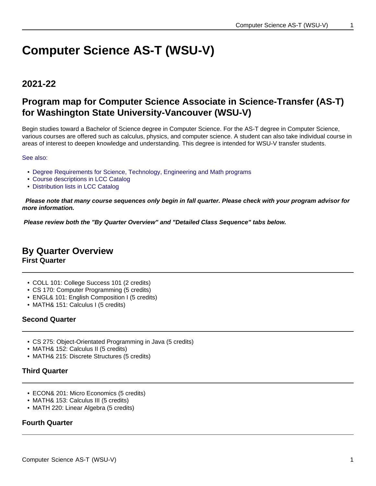# **Computer Science AS-T (WSU-V)**

## **2021-22**

# **Program map for Computer Science Associate in Science-Transfer (AS-T) for Washington State University-Vancouver (WSU-V)**

Begin studies toward a Bachelor of Science degree in Computer Science. For the AS-T degree in Computer Science, various courses are offered such as calculus, physics, and computer science. A student can also take individual course in areas of interest to deepen knowledge and understanding. This degree is intended for WSU-V transfer students.

See also:

- Degree Requirements for Science, Technology, Engineering and Math programs
- Course descriptions in LCC Catalog
- Distribution lists in LCC Catalog

 **Please note that many course sequences only begin in fall quarter. Please check with your program advisor for more information.**

**Please review both the "By Quarter Overview" and "Detailed Class Sequence" tabs below.**

# **By Quarter Overview**

**First Quarter**

- COLL 101: College Success 101 (2 credits)
- CS 170: Computer Programming (5 credits)
- ENGL& 101: English Composition I (5 credits)
- MATH& 151: Calculus I (5 credits)

## **Second Quarter**

- CS 275: Object-Orientated Programming in Java (5 credits)
- MATH& 152: Calculus II (5 credits)
- MATH& 215: Discrete Structures (5 credits)

## **Third Quarter**

- ECON& 201: Micro Economics (5 credits)
- MATH& 153: Calculus III (5 credits)
- MATH 220: Linear Algebra (5 credits)

## **Fourth Quarter**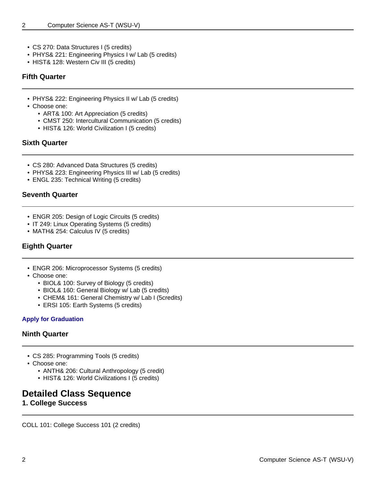- CS 270: Data Structures I (5 credits)
- PHYS& 221: Engineering Physics I w/ Lab (5 credits)
- HIST& 128: Western Civ III (5 credits)

### **Fifth Quarter**

- PHYS& 222: Engineering Physics II w/ Lab (5 credits)
- Choose one:
	- ART& 100: Art Appreciation (5 credits)
	- CMST 250: Intercultural Communication (5 credits)
	- HIST& 126: World Civilization I (5 credits)

## **Sixth Quarter**

- CS 280: Advanced Data Structures (5 credits)
- PHYS& 223: Engineering Physics III w/ Lab (5 credits)
- ENGL 235: Technical Writing (5 credits)

## **Seventh Quarter**

- ENGR 205: Design of Logic Circuits (5 credits)
- IT 249: Linux Operating Systems (5 credits)
- MATH& 254: Calculus IV (5 credits)

## **Eighth Quarter**

- ENGR 206: Microprocessor Systems (5 credits)
- Choose one:
	- BIOL& 100: Survey of Biology (5 credits)
	- BIOL& 160: General Biology w/ Lab (5 credits)
	- CHEM& 161: General Chemistry w/ Lab I (5credits)
	- ERSI 105: Earth Systems (5 credits)

## **Apply for Graduation**

## **Ninth Quarter**

- CS 285: Programming Tools (5 credits)
- Choose one:
	- ANTH& 206: Cultural Anthropology (5 credit)
	- HIST& 126: World Civilizations I (5 credits)

# **Detailed Class Sequence**

**1. College Success**

COLL 101: College Success 101 (2 credits)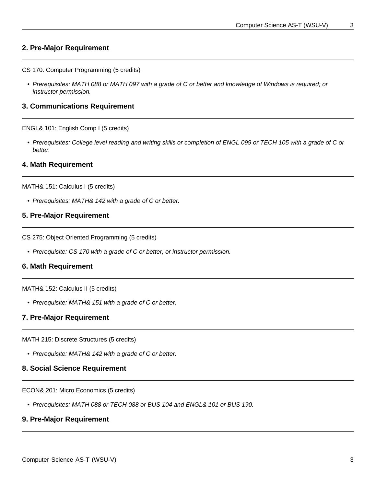#### **2. Pre-Major Requirement**

CS 170: Computer Programming (5 credits)

• Prerequisites: MATH 088 or MATH 097 with a grade of C or better and knowledge of Windows is required; or instructor permission.

#### **3. Communications Requirement**

ENGL& 101: English Comp I (5 credits)

• Prerequisites: College level reading and writing skills or completion of ENGL 099 or TECH 105 with a grade of C or better.

#### **4. Math Requirement**

MATH& 151: Calculus I (5 credits)

• Prerequisites: MATH& 142 with a grade of C or better.

#### **5. Pre-Major Requirement**

CS 275: Object Oriented Programming (5 credits)

• Prerequisite: CS 170 with a grade of C or better, or instructor permission.

#### **6. Math Requirement**

MATH& 152: Calculus II (5 credits)

• Prerequisite: MATH& 151 with a grade of C or better.

#### **7. Pre-Major Requirement**

MATH 215: Discrete Structures (5 credits)

• Prerequisite: MATH& 142 with a grade of C or better.

#### **8. Social Science Requirement**

ECON& 201: Micro Economics (5 credits)

• Prerequisites: MATH 088 or TECH 088 or BUS 104 and ENGL& 101 or BUS 190.

#### **9. Pre-Major Requirement**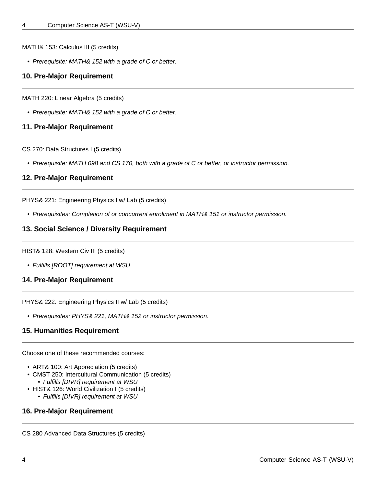MATH& 153: Calculus III (5 credits)

• Prerequisite: MATH& 152 with a grade of C or better.

#### **10. Pre-Major Requirement**

MATH 220: Linear Algebra (5 credits)

• Prerequisite: MATH& 152 with a grade of C or better.

#### **11. Pre-Major Requirement**

CS 270: Data Structures I (5 credits)

• Prerequisite: MATH 098 and CS 170, both with a grade of C or better, or instructor permission.

#### **12. Pre-Major Requirement**

PHYS& 221: Engineering Physics I w/ Lab (5 credits)

• Prerequisites: Completion of or concurrent enrollment in MATH& 151 or instructor permission.

#### **13. Social Science / Diversity Requirement**

HIST& 128: Western Civ III (5 credits)

• Fulfills [ROOT] requirement at WSU

#### **14. Pre-Major Requirement**

PHYS& 222: Engineering Physics II w/ Lab (5 credits)

• Prerequisites: PHYS& 221, MATH& 152 or instructor permission.

#### **15. Humanities Requirement**

Choose one of these recommended courses:

- ART& 100: Art Appreciation (5 credits)
- CMST 250: Intercultural Communication (5 credits) • Fulfills [DIVR] requirement at WSU
- HIST& 126: World Civilization I (5 credits)
	- Fulfills [DIVR] requirement at WSU

#### **16. Pre-Major Requirement**

CS 280 Advanced Data Structures (5 credits)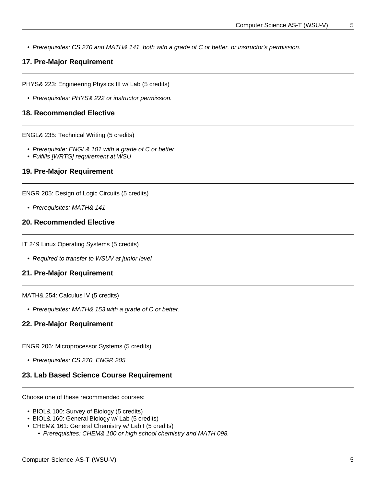• Prerequisites: CS 270 and MATH& 141, both with a grade of C or better, or instructor's permission.

## **17. Pre-Major Requirement**

PHYS& 223: Engineering Physics III w/ Lab (5 credits)

• Prerequisites: PHYS& 222 or instructor permission.

#### **18. Recommended Elective**

ENGL& 235: Technical Writing (5 credits)

- Prerequisite: ENGL& 101 with a grade of C or better.
- Fulfills [WRTG] requirement at WSU

#### **19. Pre-Major Requirement**

ENGR 205: Design of Logic Circuits (5 credits)

• Prerequisites: MATH& 141

#### **20. Recommended Elective**

IT 249 Linux Operating Systems (5 credits)

• Required to transfer to WSUV at junior level

### **21. Pre-Major Requirement**

MATH& 254: Calculus IV (5 credits)

• Prerequisites: MATH& 153 with a grade of C or better.

#### **22. Pre-Major Requirement**

ENGR 206: Microprocessor Systems (5 credits)

• Prerequisites: CS 270, ENGR 205

#### **23. Lab Based Science Course Requirement**

Choose one of these recommended courses:

- BIOL& 100: Survey of Biology (5 credits)
- BIOL& 160: General Biology w/ Lab (5 credits)
- CHEM& 161: General Chemistry w/ Lab I (5 credits)
	- Prerequisites: CHEM& 100 or high school chemistry and MATH 098.